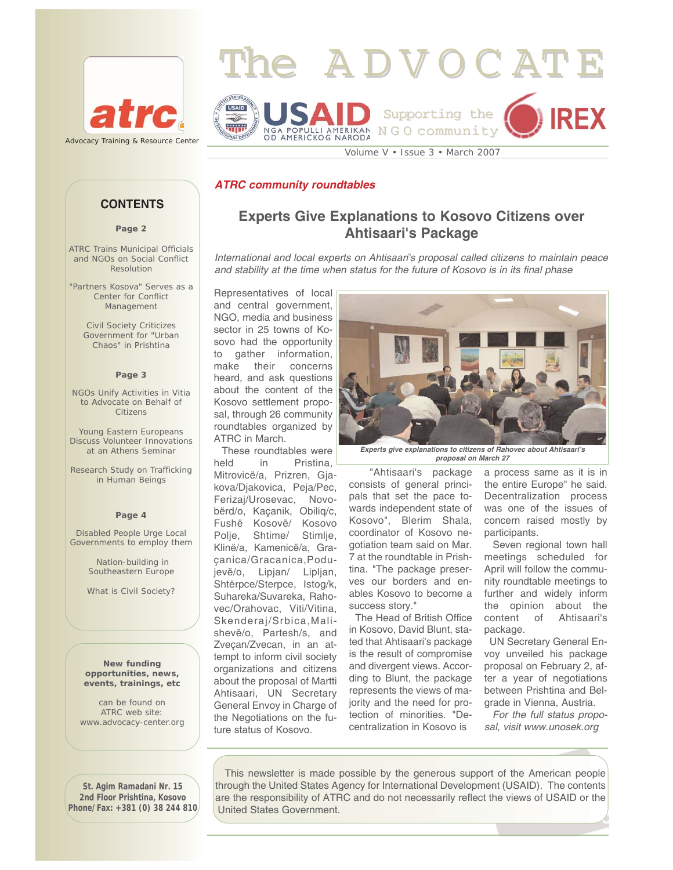



**Experts Give Explanations to Kosovo Citizens over Ahtisaari's Package**

*International and local experts on Ahtisaari's proposal called citizens to maintain peace*

*and stability at the time when status for the future of Kosovo is in its final phase*

# *ATRC community roundtables*

## **CONTENTS**

**Page 2**

ATRC Trains Municipal Officials and NGOs on Social Conflict Resolution

"Partners Kosova" Serves as a Center for Conflict Management

Civil Society Criticizes Government for "Urban Chaos" in Prishtina

#### **Page 3**

NGOs Unify Activities in Vitia to Advocate on Behalf of Citizens

Young Eastern Europeans Discuss Volunteer Innovations at an Athens Seminar

Research Study on Trafficking in Human Beings

#### **Page 4**

Disabled People Urge Local Governments to employ them

> Nation-building in Southeastern Europe

What is Civil Society?

**New funding opportunities, news, events, trainings, etc** 

can be found on ATRC web site: www.advocacy-center.org

Representatives of local and central government, NGO, media and business sector in 25 towns of Kosovo had the opportunity to gather information, make their concerns heard, and ask questions about the content of the Kosovo settlement proposal, through 26 community roundtables organized by ATRC in March.

These roundtables were held in Pristina, Mitrovicë/a, Prizren, Gjakova/Djakovica, Peja/Pec, Ferizaj/Urosevac, Novobërd/o, Kaçanik, Obiliq/c, Fushë Kosovë/ Kosovo Polje, Shtime/ Stimlje, Klinë/a, Kamenicë/a, Graçanica/Gracanica,Podujevë/o, Lipjan/ Lipljan, Shtërpce/Sterpce, Istog/k, Suhareka/Suvareka, Rahovec/Orahovac, Viti/Vitina, Skenderaj/Srbica,Malishevë/o, Partesh/s, and Zveçan/Zvecan, in an attempt to inform civil society organizations and citizens about the proposal of Martti Ahtisaari, UN Secretary General Envoy in Charge of the Negotiations on the future status of Kosovo.



*Experts give explanations to citizens of Rahovec about Ahtisaari's proposal on March 27* 

"Ahtisaari's package consists of general principals that set the pace towards independent state of Kosovo", Blerim Shala, coordinator of Kosovo negotiation team said on Mar. 7 at the roundtable in Prishtina. "The package preserves our borders and enables Kosovo to become a success story."

The Head of British Office in Kosovo, David Blunt, stated that Ahtisaari's package is the result of compromise and divergent views. According to Blunt, the package represents the views of majority and the need for protection of minorities. "Decentralization in Kosovo is

a process same as it is in the entire Europe" he said. Decentralization process was one of the issues of concern raised mostly by participants.

Seven regional town hall meetings scheduled for April will follow the community roundtable meetings to further and widely inform the opinion about the content of Ahtisaari's package.

UN Secretary General Envoy unveiled his package proposal on February 2, after a year of negotiations between Prishtina and Belgrade in Vienna, Austria.

*For the full status proposal, visit www.unosek.org* 

**St. Agim Ramadani Nr. 15 2nd Floor Prishtina, Kosovo Phone/Fax: +381 (0) 38 244 810**

This newsletter is made possible by the generous support of the American people through the United States Agency for International Development (USAID). The contents are the responsibility of ATRC and do not necessarily reflect the views of USAID or the United States Government.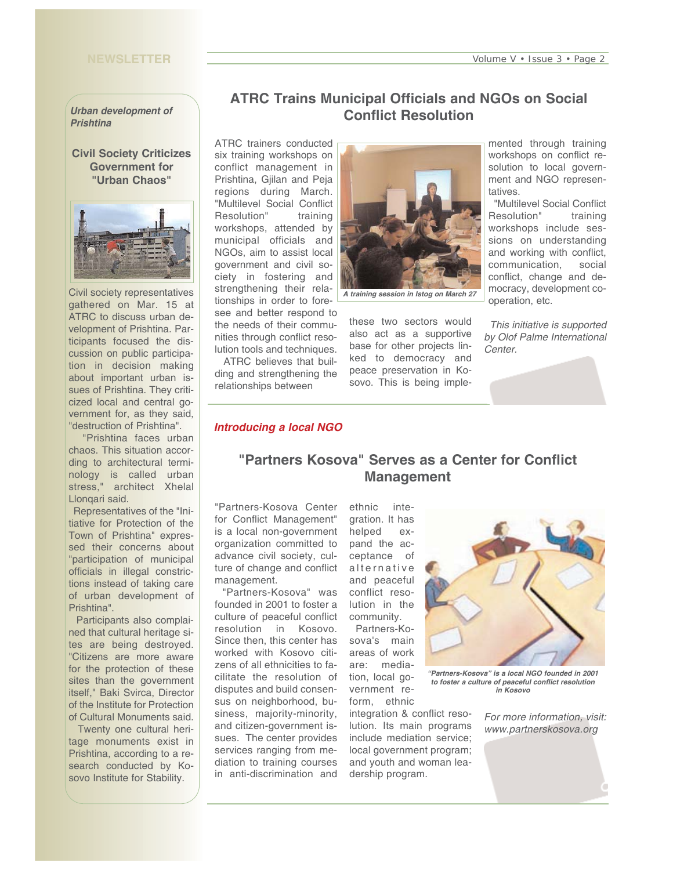## **NEWSLETTER**

#### *Urban development of Prishtina*

**Civil Society Criticizes Government for "Urban Chaos"** 



Civil society representatives gathered on Mar. 15 at ATRC to discuss urban development of Prishtina. Participants focused the discussion on public participation in decision making about important urban issues of Prishtina. They criticized local and central government for, as they said, "destruction of Prishtina".

"Prishtina faces urban chaos. This situation according to architectural terminology is called urban stress," architect Xhelal Llonqari said.

Representatives of the "Initiative for Protection of the Town of Prishtina" expressed their concerns about "participation of municipal officials in illegal constrictions instead of taking care of urban development of Prishtina".

Participants also complained that cultural heritage sites are being destroyed. "Citizens are more aware for the protection of these sites than the government itself," Baki Svirca, Director of the Institute for Protection of Cultural Monuments said.

Twenty one cultural heritage monuments exist in Prishtina, according to a research conducted by Kosovo Institute for Stability.

## **ATRC Trains Municipal Officials and NGOs on Social Conflict Resolution**

ATRC trainers conducted six training workshops on conflict management in Prishtina, Gjilan and Peja regions during March. "Multilevel Social Conflict Resolution" training workshops, attended by municipal officials and NGOs, aim to assist local government and civil society in fostering and strengthening their relationships in order to foresee and better respond to the needs of their communities through conflict resolution tools and techniques.

ATRC believes that building and strengthening the relationships between



*A training session in Istog on March 27* 

these two sectors would also act as a supportive base for other projects linked to democracy and peace preservation in Kosovo. This is being implemented through training workshops on conflict resolution to local government and NGO representatives.

"Multilevel Social Conflict Resolution" training workshops include sessions on understanding and working with conflict, communication, social conflict, change and democracy, development cooperation, etc.

*This initiative is supported by Olof Palme International Center.* 

#### *Introducing a local NGO*

## **"Partners Kosova" Serves as a Center for Conflict Management**

"Partners-Kosova Center for Conflict Management" is a local non-government organization committed to advance civil society, culture of change and conflict management.

"Partners-Kosova" was founded in 2001 to foster a culture of peaceful conflict resolution in Kosovo. Since then, this center has worked with Kosovo citizens of all ethnicities to facilitate the resolution of disputes and build consensus on neighborhood, business, majority-minority, and citizen-government issues. The center provides services ranging from mediation to training courses in anti-discrimination and

ethnic integration. It has helped expand the acceptance of alternative and peaceful conflict resolution in the community. Partners-Ko-

sova's main areas of work are: mediation, local government reform, ethnic

integration & conflict resolution. Its main programs include mediation service; local government program; and youth and woman leadership program.



*"Partners-Kosova" is a local NGO founded in 2001 to foster a culture of peaceful conflict resolution in Kosovo*

*For more information, visit: www.partnerskosova.org*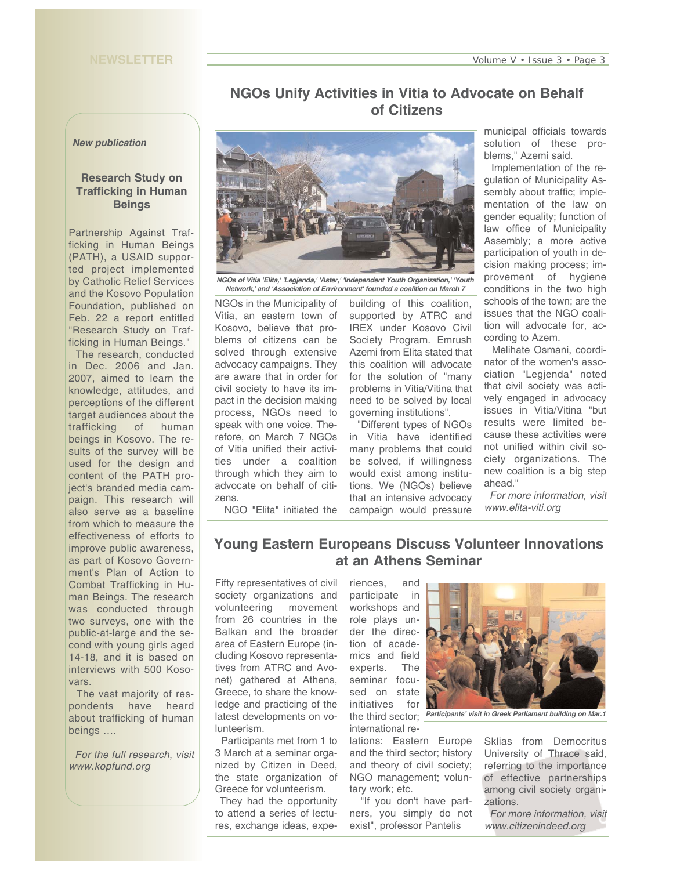#### **NEWSLETTER**

# **NGOs Unify Activities in Vitia to Advocate on Behalf of Citizens**

#### *New publication*

### **Research Study on Trafficking in Human Beings**

Partnership Against Trafficking in Human Beings (PATH), a USAID supported project implemented by Catholic Relief Services and the Kosovo Population Foundation, published on Feb. 22 a report entitled "Research Study on Trafficking in Human Beings."

The research, conducted in Dec. 2006 and Jan. 2007, aimed to learn the knowledge, attitudes, and perceptions of the different target audiences about the trafficking of human beings in Kosovo. The results of the survey will be used for the design and content of the PATH project's branded media campaign. This research will also serve as a baseline from which to measure the effectiveness of efforts to improve public awareness, as part of Kosovo Government's Plan of Action to Combat Trafficking in Human Beings. The research was conducted through two surveys, one with the public-at-large and the second with young girls aged 14-18, and it is based on interviews with 500 Kosovars.

The vast majority of respondents have heard about trafficking of human beings ….

*For the full research, visit www.kopfund.org*



*NGOs of Vitia 'Elita,' 'Legjenda,' 'Aster,' 'Independent Youth Organization,' 'Youth Network,' and 'Association of Environment' founded a coalition on March 7*

NGOs in the Municipality of Vitia, an eastern town of Kosovo, believe that problems of citizens can be solved through extensive advocacy campaigns. They are aware that in order for civil society to have its impact in the decision making process, NGOs need to speak with one voice. Therefore, on March 7 NGOs of Vitia unified their activities under a coalition through which they aim to advocate on behalf of citizens. NGO "Elita" initiated the

building of this coalition, supported by ATRC and IREX under Kosovo Civil Society Program. Emrush Azemi from Elita stated that this coalition will advocate for the solution of "many problems in Vitia/Vitina that need to be solved by local governing institutions".

"Different types of NGOs in Vitia have identified many problems that could be solved, if willingness would exist among institutions. We (NGOs) believe that an intensive advocacy campaign would pressure municipal officials towards solution of these problems," Azemi said.

Implementation of the regulation of Municipality Assembly about traffic; implementation of the law on gender equality; function of law office of Municipality Assembly; a more active participation of youth in decision making process; improvement of hygiene conditions in the two high schools of the town; are the issues that the NGO coalition will advocate for, according to Azem.

Melihate Osmani, coordinator of the women's association "Legjenda" noted that civil society was actively engaged in advocacy issues in Vitia/Vitina "but results were limited because these activities were not unified within civil society organizations. The new coalition is a big step ahead."

*For more information, visit www.elita-viti.org*

# **Young Eastern Europeans Discuss Volunteer Innovations**

**at an Athens Seminar** 

Fifty representatives of civil society organizations and volunteering movement from 26 countries in the Balkan and the broader area of Eastern Europe (including Kosovo representatives from ATRC and Avonet) gathered at Athens, Greece, to share the knowledge and practicing of the latest developments on volunteerism.

Participants met from 1 to 3 March at a seminar organized by Citizen in Deed, the state organization of Greece for volunteerism.

They had the opportunity to attend a series of lectures, exchange ideas, expeparticipate in workshops and role plays under the direction of academics and field experts. The seminar focused on state initiatives for international re-

riences, and

lations: Eastern Europe and the third sector; history and theory of civil society; NGO management; voluntary work; etc.

"If you don't have partners, you simply do not exist", professor Pantelis



the third sector; *Participants' visit in Greek Parliament building on Mar.1* 

Sklias from Democritus University of Thrace said, referring to the importance of effective partnerships among civil society organizations.

*For more information, visit www.citizenindeed.org*